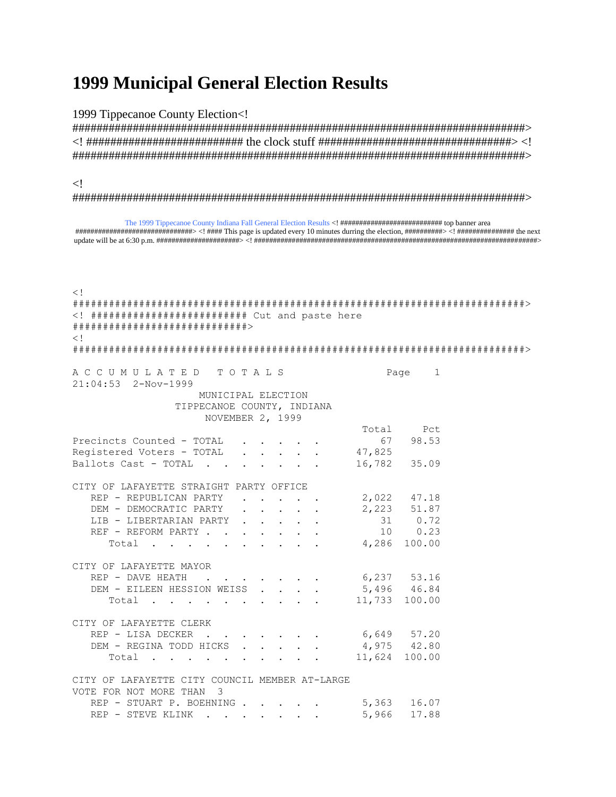## **1999 Municipal General Election Results**

1999 Tippecanoe County Election<!

 $\langle$ !

 $\frac{1}{2}$  =  $\frac{1}{2}$  =  $\frac{1}{2}$  =  $\frac{1}{2}$  =  $\frac{1}{2}$  =  $\frac{1}{2}$  =  $\frac{1}{2}$  =  $\frac{1}{2}$  =  $\frac{1}{2}$  =  $\frac{1}{2}$  =  $\frac{1}{2}$  =  $\frac{1}{2}$  =  $\frac{1}{2}$  =  $\frac{1}{2}$  =  $\frac{1}{2}$  =  $\frac{1}{2}$  =  $\frac{1}{2}$  =  $\frac{1}{2}$  =  $\frac{1$  $\lt$  ! <! ########################## Cut and paste here  $\lt$  ! ACCUMULATED TOTALS Page  $\overline{1}$  $21:04:53$   $2-Nov-1999$ MUNICIPAL ELECTION TIPPECANOE COUNTY, INDIANA NOVEMBER 2, 1999 Total Pct Precincts Counted - TOTAL  $\mathcal{A}=\mathcal{A}=\mathcal{A}=\mathcal{A}$  . 67 98.53 Reqistered Voters - TOTAL . . . . . 47,825 Ballots Cast - TOTAL . . . . . . 16,782 35.09 CITY OF LAFAYETTE STRAIGHT PARTY OFFICE REP - REPUBLICAN PARTY 2,022 47.18  $\mathcal{L}^{\mathcal{A}}$  . The contract of the contract of  $\mathcal{A}$ DEM - DEMOCRATIC PARTY 2,223 51.87 LIB - LIBERTARIAN PARTY 31  $0.72$ REF - REFORM PARTY . . . . 10  $0.23$  $\mathbf{r}$  ,  $\mathbf{r}$  ,  $\mathbf{r}$ Total . . . . 4,286 100.00  $\mathbf{r}$  . The set of  $\mathbf{r}$ CITY OF LAFAYETTE MAYOR  $\begin{tabular}{cccccc} \bf REP & - & \tt{DAVE} & \tt{HEATH} & & \tt{.} & \tt{.} \end{tabular}$ 6,237 53.16  $\ddot{\phantom{a}}$ DEM - EILEEN HESSION WEISS  $\ddot{\phantom{a}}$ 5,496 46.84  $\sim$  $\sim$  $\mathbf{r}$ Total . . . . . . 11,733 100.00 CITY OF LAFAYETTE CLERK REP - LISA DECKER . . 6,649 57.20  $\mathbf{r}$  $\sim$   $\sim$   $\sim$ DEM - REGINA TODD HICKS . . . . 4,975 42.80 11,624 100.00 Total . . . . . CITY OF LAFAYETTE CITY COUNCIL MEMBER AT-LARGE VOTE FOR NOT MORE THAN 3 REP - STUART P. BOEHNING . . . . . 5,363 16.07 REP - STEVE KLINK . . . . . . . 5,966 17.88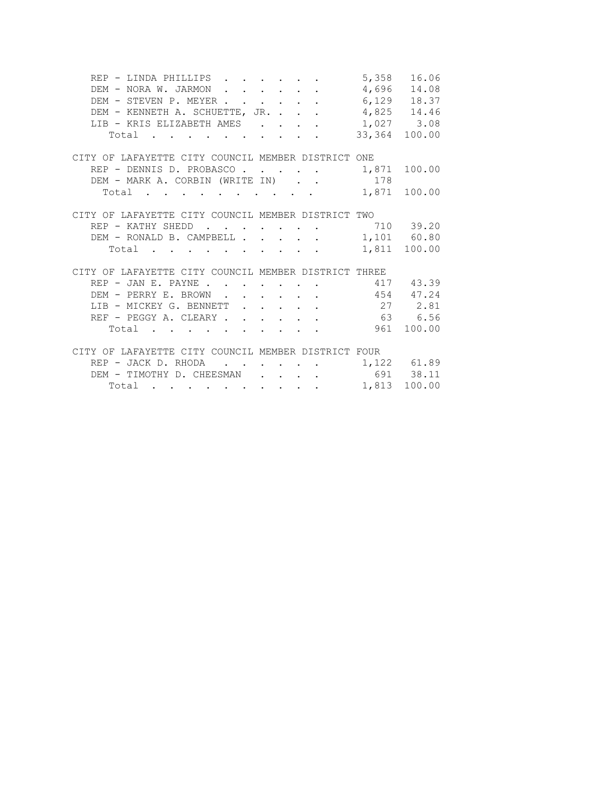| REP - LINDA PHILLIPS 5,358 16.06                                                                                         |              |              |
|--------------------------------------------------------------------------------------------------------------------------|--------------|--------------|
| DEM - NORA W. JARMON 4,696 14.08                                                                                         |              |              |
| DEM - STEVEN P. MEYER 6,129 18.37                                                                                        |              |              |
| DEM - KENNETH A. SCHUETTE, JR. 4,825 14.46                                                                               |              |              |
| LIB - KRIS ELIZABETH AMES 1,027 3.08                                                                                     |              |              |
| Total 33,364 100.00                                                                                                      |              |              |
|                                                                                                                          |              |              |
| CITY OF LAFAYETTE CITY COUNCIL MEMBER DISTRICT ONE                                                                       |              |              |
| REP - DENNIS D. PROBASCO. 1,871 100.00                                                                                   |              |              |
| DEM - MARK A. CORBIN (WRITE IN) 178                                                                                      |              |              |
| Total<br>the contract of the contract of the contract of the contract of the contract of the contract of the contract of | 1,871 100.00 |              |
|                                                                                                                          |              |              |
| CITY OF LAFAYETTE CITY COUNCIL MEMBER DISTRICT TWO                                                                       |              |              |
| $\cdot$ 710 39.20<br>REP - KATHY SHEDD                                                                                   |              |              |
| DEM - RONALD B. CAMPBELL 1,101 60.80                                                                                     |              |              |
| Total , , , , , , , , , , ,                                                                                              | 1,811 100.00 |              |
|                                                                                                                          |              |              |
| CITY OF LAFAYETTE CITY COUNCIL MEMBER DISTRICT THREE                                                                     |              |              |
| REP - JAN E. PAYNE 417 43.39                                                                                             |              |              |
| DEM - PERRY E. BROWN 454 47.24                                                                                           |              |              |
| LIB - MICKEY G. BENNETT 27 2.81                                                                                          |              |              |
| REF - PEGGY A. CLEARY 63 6.56                                                                                            |              |              |
| Total 961 100.00                                                                                                         |              |              |
|                                                                                                                          |              |              |
| CITY OF LAFAYETTE CITY COUNCIL MEMBER DISTRICT FOUR                                                                      |              |              |
| REP - JACK D. RHODA 1,122 61.89                                                                                          |              |              |
| DEM - TIMOTHY D. CHEESMAN 691 38.11                                                                                      |              |              |
| Total $\cdot$                                                                                                            |              | 1,813 100.00 |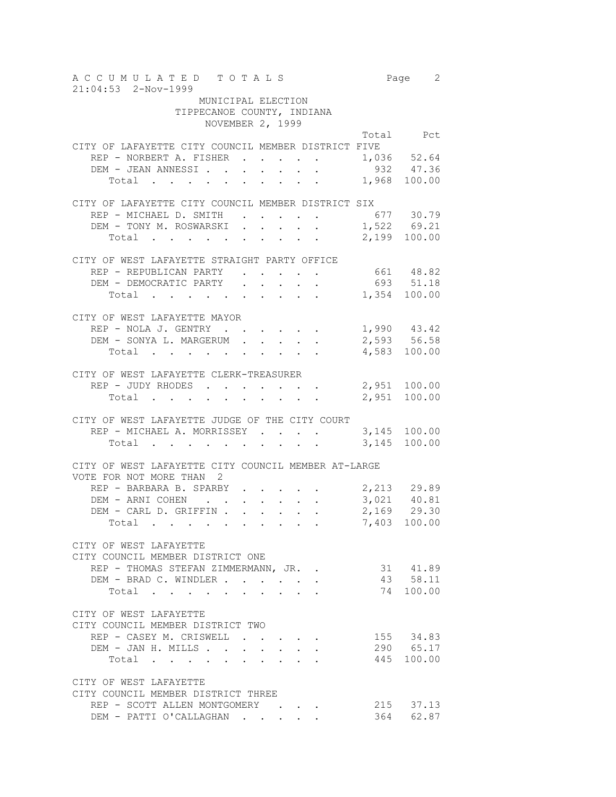A C C U M U L A T E D T O T A L S Page 2 21:04:53 2-Nov-1999 MUNICIPAL ELECTION TIPPECANOE COUNTY, INDIANA NOVEMBER 2, 1999 Total Pct CITY OF LAFAYETTE CITY COUNCIL MEMBER DISTRICT FIVE REP - NORBERT A. FISHER . . . . . 1,036 52.64 DEM - JEAN ANNESSI. . . . . . . 932 47.36 Total . . . . . . . . . 1,968 100.00 CITY OF LAFAYETTE CITY COUNCIL MEMBER DISTRICT SIX REP - MICHAEL D. SMITH . . . . . 677 30.79 DEM - TONY M. ROSWARSKI . . . . . 1,522 69.21 Total . . . . . . . . . 2,199 100.00 CITY OF WEST LAFAYETTE STRAIGHT PARTY OFFICE REP - REPUBLICAN PARTY<br>
DEM - DEMOCRATIC PARTY<br>
. . . . . . 693 51.18 DEM - DEMOCRATIC PARTY . . . . . Total . . . . . . . . . 1,354 100.00 CITY OF WEST LAFAYETTE MAYOR REP - NOLA J. GENTRY . . . . . . 1,990 43.42 DEM - SONYA L. MARGERUM . . . . . 2,593 56.58 Total . . . . . . . . . . 4,583 100.00 CITY OF WEST LAFAYETTE CLERK-TREASURER REP - JUDY RHODES . . . . . . . 2,951 100.00 Total . . . . . . . . . 2,951 100.00 CITY OF WEST LAFAYETTE JUDGE OF THE CITY COURT REP - MICHAEL A. MORRISSEY . . . . 3,145 100.00 Total . . . . . . . . . . 3,145 100.00 CITY OF WEST LAFAYETTE CITY COUNCIL MEMBER AT-LARGE VOTE FOR NOT MORE THAN 2 REP - BARBARA B. SPARBY . . . . . 2,213 29.89 DEM - ARNI COHEN . . . . . . . 3,021 40.81 DEM - CARL D. GRIFFIN . . . . . 2,169 29.30 Total . . . . . . . . . 7,403 100.00 CITY OF WEST LAFAYETTE CITY COUNCIL MEMBER DISTRICT ONE REP - THOMAS STEFAN ZIMMERMANN, JR. . 31 41.89 DEM - BRAD C. WINDLER . . . . . . 43 58.11 Total . . . . . . . . . . 74 100.00 CITY OF WEST LAFAYETTE CITY COUNCIL MEMBER DISTRICT TWO REP - CASEY M. CRISWELL . . . . . 155 34.83 DEM - JAN H. MILLS . . . . . . . . 290 65.17 Total . . . . . . . . . . 445 100.00 CITY OF WEST LAFAYETTE CITY COUNCIL MEMBER DISTRICT THREE REP - SCOTT ALLEN MONTGOMERY . . . . 215 37.13<br>
DEM - PATTI O'CALLAGHAN . . . . . 364 62.87 DEM - PATTI O'CALLAGHAN . . . . .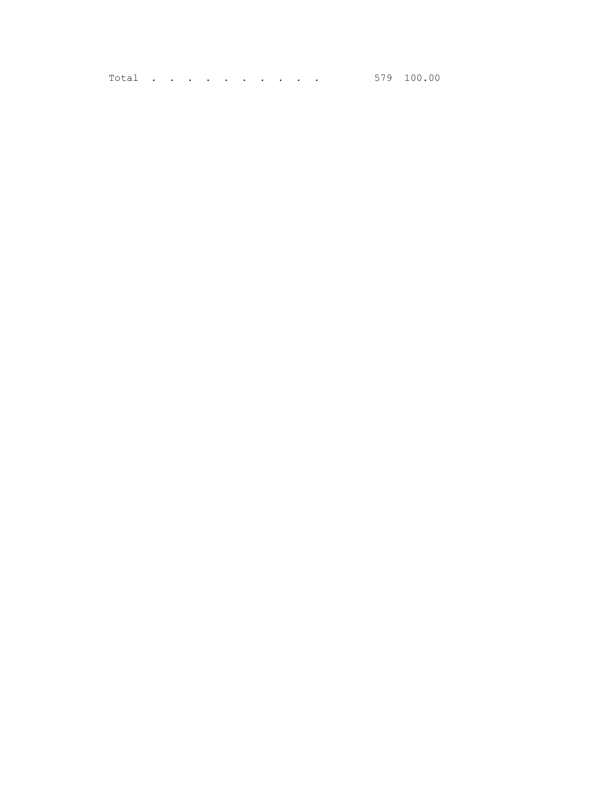Total . . . . . . . . . . 579 100.00